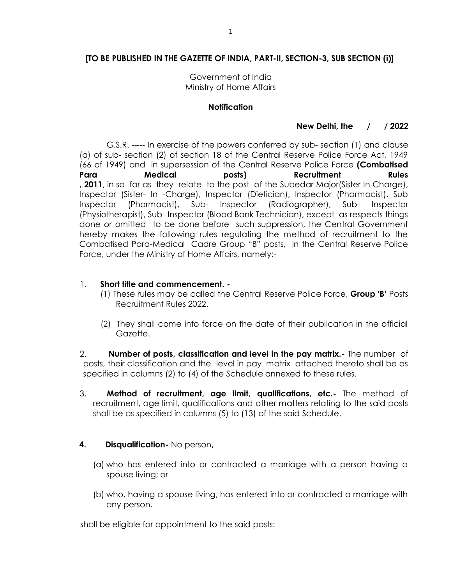# **[TO BE PUBLISHED IN THE GAZETTE OF INDIA, PART-II, SECTION-3, SUB SECTION (i)]**

Government of India Ministry of Home Affairs

### **Notification**

## **New Delhi, the / / 2022**

 G.S.R. ----- In exercise of the powers conferred by sub- section (1) and clause (a) of sub- section (2) of section 18 of the Central Reserve Police Force Act, 1949 (66 of 1949) and in supersession of the Central Reserve Police Force **(Combatised Para Medical posts) Recruitment Rules , 2011**, in so far as they relate to the post of the Subedar Major(Sister In Charge), Inspector (Sister- In -Charge), Inspector (Dietician), Inspector (Pharmacist), Sub Inspector (Pharmacist), Sub- Inspector (Radiographer), Sub- Inspector (Physiotherapist), Sub- Inspector (Blood Bank Technician), except as respects things done or omitted to be done before such suppression, the Central Government hereby makes the following rules regulating the method of recruitment to the Combatised Para-Medical Cadre Group "B" posts, in the Central Reserve Police Force, under the Ministry of Home Affairs, namely:-

### 1. **Short title and commencement. -**

- (1) These rules may be called the Central Reserve Police Force, **Group 'B'** Posts Recruitment Rules 2022.
- (2) They shall come into force on the date of their publication in the official Gazette.

2. **Number of posts, classification and level in the pay matrix.-** The number of posts, their classification and the level in pay matrix attached thereto shall be as specified in columns (2) to (4) of the Schedule annexed to these rules.

3. **Method of recruitment, age limit, qualifications, etc.-** The method of recruitment, age limit, qualifications and other matters relating to the said posts shall be as specified in columns (5) to (13) of the said Schedule.

### **4. Disqualification-** No person**,**

- (a) who has entered into or contracted a marriage with a person having a spouse living; or
- (b) who, having a spouse living, has entered into or contracted a marriage with any person,

shall be eligible for appointment to the said posts: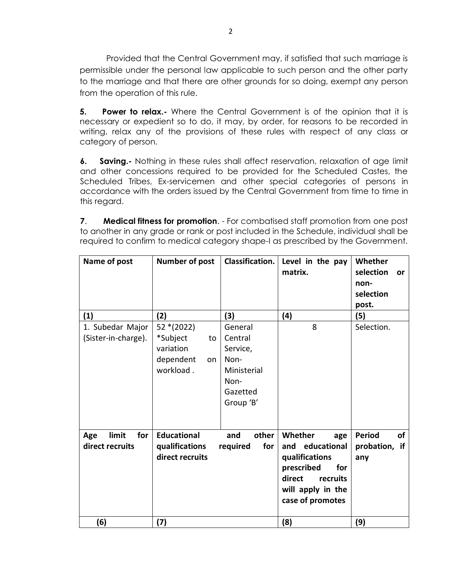Provided that the Central Government may, if satisfied that such marriage is permissible under the personal law applicable to such person and the other party to the marriage and that there are other grounds for so doing, exempt any person from the operation of this rule.

**5.** Power to relax.- Where the Central Government is of the opinion that it is necessary or expedient so to do, it may, by order, for reasons to be recorded in writing, relax any of the provisions of these rules with respect of any class or category of person.

**6. Saving.-** Nothing in these rules shall affect reservation, relaxation of age limit and other concessions required to be provided for the Scheduled Castes, the Scheduled Tribes, Ex-servicemen and other special categories of persons in accordance with the orders issued by the Central Government from time to time in this regard.

**7**. **Medical fitness for promotion**. - For combatised staff promotion from one post to another in any grade or rank or post included in the Schedule, individual shall be required to confirm to medical category shape-I as prescribed by the Government.

| Name of post                            | <b>Number of post</b>                                                      | Classification.                                                                        | Level in the pay<br>matrix.                                                                                                             | Whether<br>selection<br><b>or</b><br>non-<br>selection<br>post. |
|-----------------------------------------|----------------------------------------------------------------------------|----------------------------------------------------------------------------------------|-----------------------------------------------------------------------------------------------------------------------------------------|-----------------------------------------------------------------|
| (1)                                     | (2)                                                                        | (3)                                                                                    | (4)                                                                                                                                     | (5)                                                             |
| 1. Subedar Major<br>(Sister-in-charge). | 52 * (2022)<br>*Subject<br>to<br>variation<br>dependent<br>on<br>workload. | General<br>Central<br>Service,<br>Non-<br>Ministerial<br>Non-<br>Gazetted<br>Group 'B' | 8                                                                                                                                       | Selection.                                                      |
| limit<br>for<br>Age<br>direct recruits  | <b>Educational</b><br>qualifications<br>direct recruits                    | other<br>and<br>for<br>required                                                        | Whether<br>age<br>and educational<br>qualifications<br>prescribed<br>for<br>direct<br>recruits<br>will apply in the<br>case of promotes | <b>Period</b><br>of<br>probation, if<br>any                     |
| (6)                                     | (7)                                                                        |                                                                                        | (8)                                                                                                                                     | (9)                                                             |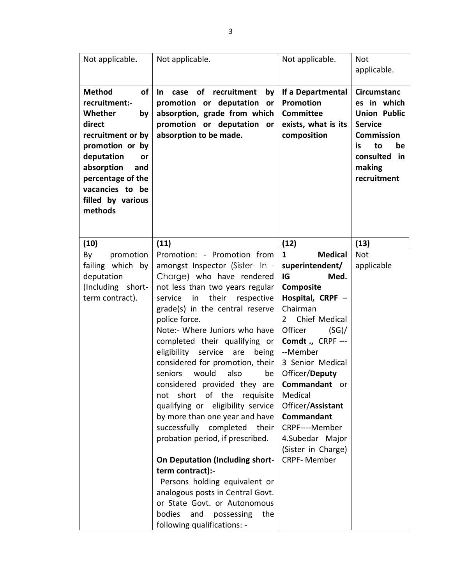| Not applicable.                                                                                                                                                                                                          | Not applicable.                                                                                                                                                                                                                                                                                                                                                                                                                                                                                                                                                                                                                                                                                                                                                                                                                                                     | Not applicable.                                                                                                                                                                                                                                                                                                                                              | Not<br>applicable.                                                                                                                                             |
|--------------------------------------------------------------------------------------------------------------------------------------------------------------------------------------------------------------------------|---------------------------------------------------------------------------------------------------------------------------------------------------------------------------------------------------------------------------------------------------------------------------------------------------------------------------------------------------------------------------------------------------------------------------------------------------------------------------------------------------------------------------------------------------------------------------------------------------------------------------------------------------------------------------------------------------------------------------------------------------------------------------------------------------------------------------------------------------------------------|--------------------------------------------------------------------------------------------------------------------------------------------------------------------------------------------------------------------------------------------------------------------------------------------------------------------------------------------------------------|----------------------------------------------------------------------------------------------------------------------------------------------------------------|
| <b>Method</b><br>οf<br>recruitment:-<br>Whether<br>by<br>direct<br>recruitment or by<br>promotion or by<br>deputation<br>or<br>absorption<br>and<br>percentage of the<br>vacancies to be<br>filled by various<br>methods | <b>of</b><br>recruitment<br>In.<br>case<br>by<br>promotion or deputation<br>or<br>absorption, grade from which<br>promotion or deputation<br><b>or</b><br>absorption to be made.                                                                                                                                                                                                                                                                                                                                                                                                                                                                                                                                                                                                                                                                                    | If a Departmental<br>Promotion<br><b>Committee</b><br>exists, what is its<br>composition                                                                                                                                                                                                                                                                     | <b>Circumstanc</b><br>es in which<br><b>Union Public</b><br><b>Service</b><br><b>Commission</b><br>to<br>is.<br>be<br>consulted<br>in<br>making<br>recruitment |
| (10)                                                                                                                                                                                                                     | (11)                                                                                                                                                                                                                                                                                                                                                                                                                                                                                                                                                                                                                                                                                                                                                                                                                                                                | (12)                                                                                                                                                                                                                                                                                                                                                         | (13)                                                                                                                                                           |
| promotion<br>By<br>failing which by<br>deputation<br>(Including short-<br>term contract).                                                                                                                                | Promotion: - Promotion from<br>amongst Inspector (Sister- In -<br>Charge) who have rendered<br>not less than two years regular<br>their<br>service<br>in<br>respective<br>grade(s) in the central reserve<br>police force.<br>Note:- Where Juniors who have<br>completed their qualifying or<br>eligibility service are<br>being<br>considered for promotion, their<br>also<br>seniors<br>would<br>be<br>considered provided they are   Commandant or<br>not short of the requisite<br>qualifying or eligibility service<br>by more than one year and have<br>successfully completed<br>their<br>probation period, if prescribed.<br><b>On Deputation (Including short-</b><br>term contract):-<br>Persons holding equivalent or<br>analogous posts in Central Govt.<br>or State Govt. or Autonomous<br>bodies and possessing<br>the<br>following qualifications: - | <b>Medical</b><br>1<br>superintendent/<br>IG<br>Med.<br>Composite<br>Hospital, CRPF -<br>Chairman<br>Chief Medical<br>$\overline{2}$<br>Officer<br>(SG)<br>Comdt., CRPF ---<br>--Member<br>3 Senior Medical<br>Officer/Deputy<br>Medical<br>Officer/Assistant<br>Commandant<br>CRPF----Member<br>4.Subedar Major<br>(Sister in Charge)<br><b>CRPF-Member</b> | <b>Not</b><br>applicable                                                                                                                                       |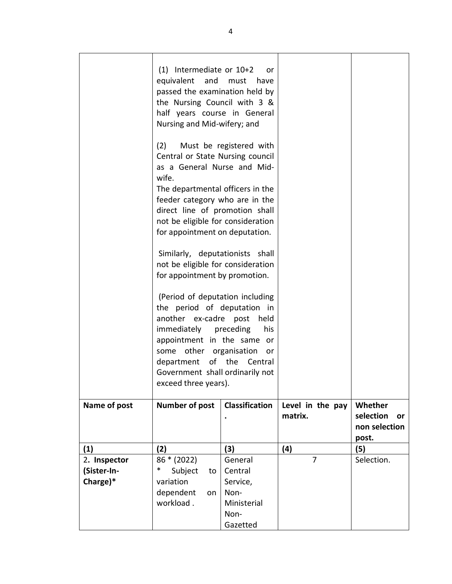|              | $(1)$ Intermediate or $10+2$<br>equivalent and<br>passed the examination held by<br>the Nursing Council with 3 &<br>half years course in General<br>Nursing and Mid-wifery; and                                                                                                        | or<br>must<br>have                      |                             |                                                      |
|--------------|----------------------------------------------------------------------------------------------------------------------------------------------------------------------------------------------------------------------------------------------------------------------------------------|-----------------------------------------|-----------------------------|------------------------------------------------------|
|              | (2)<br>Central or State Nursing council<br>as a General Nurse and Mid-<br>wife.                                                                                                                                                                                                        | Must be registered with                 |                             |                                                      |
|              | The departmental officers in the<br>feeder category who are in the<br>direct line of promotion shall<br>not be eligible for consideration                                                                                                                                              |                                         |                             |                                                      |
|              | for appointment on deputation.                                                                                                                                                                                                                                                         |                                         |                             |                                                      |
|              | Similarly, deputationists shall<br>not be eligible for consideration<br>for appointment by promotion.                                                                                                                                                                                  |                                         |                             |                                                      |
|              | (Period of deputation including<br>the period of deputation in<br>another ex-cadre post<br>held<br>immediately preceding<br>his<br>appointment in the same or<br>some other organisation<br>or<br>department of the Central<br>Government shall ordinarily not<br>exceed three years). |                                         |                             |                                                      |
| Name of post | <b>Number of post</b>                                                                                                                                                                                                                                                                  | <b>Classification</b>                   | Level in the pay<br>matrix. | Whether<br>selection<br>or<br>non selection<br>post. |
| (1)          | (2)                                                                                                                                                                                                                                                                                    | (3)                                     | (4)                         | (5)                                                  |
| 2. Inspector | 86 * (2022)                                                                                                                                                                                                                                                                            | General                                 | 7                           | Selection.                                           |
| (Sister-In-  | $\ast$<br>Subject<br>to                                                                                                                                                                                                                                                                | Central                                 |                             |                                                      |
| Charge)*     | variation                                                                                                                                                                                                                                                                              | Service,                                |                             |                                                      |
|              | dependent<br>on<br>workload.                                                                                                                                                                                                                                                           | Non-<br>Ministerial<br>Non-<br>Gazetted |                             |                                                      |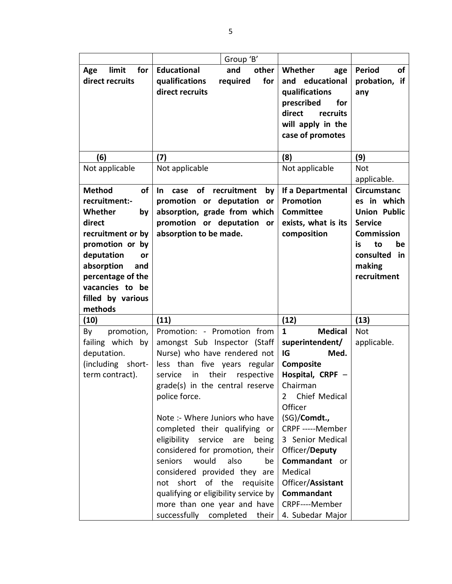|                            | Group 'B'                                                           |                                |                     |
|----------------------------|---------------------------------------------------------------------|--------------------------------|---------------------|
| limit<br>for<br>Age        | <b>Educational</b><br>and<br>other                                  | Whether<br>age                 | of<br><b>Period</b> |
| direct recruits            | qualifications<br>required<br>for                                   | educational<br>and             | probation, if       |
|                            | direct recruits                                                     | qualifications                 | any                 |
|                            |                                                                     | prescribed<br>for              |                     |
|                            |                                                                     | direct<br>recruits             |                     |
|                            |                                                                     | will apply in the              |                     |
|                            |                                                                     | case of promotes               |                     |
|                            |                                                                     |                                |                     |
| (6)                        | (7)                                                                 | (8)                            | (9)                 |
| Not applicable             | Not applicable                                                      | Not applicable                 | Not                 |
|                            |                                                                     |                                | applicable.         |
| <b>Method</b><br><b>of</b> | recruitment<br>$\ln$<br><b>of</b><br>case<br>by                     | If a Departmental              | <b>Circumstanc</b>  |
| recruitment:-              | promotion or deputation<br>or                                       | <b>Promotion</b>               | es in which         |
| Whether<br>by              | absorption, grade from which                                        | <b>Committee</b>               | <b>Union Public</b> |
| direct                     | promotion or deputation<br>or                                       | exists, what is its            | <b>Service</b>      |
| recruitment or by          | absorption to be made.                                              | composition                    | <b>Commission</b>   |
| promotion or by            |                                                                     |                                | be<br>to<br>is      |
| deputation<br>or           |                                                                     |                                | consulted<br>in     |
| absorption<br>and          |                                                                     |                                | making              |
| percentage of the          |                                                                     |                                | recruitment         |
| vacancies to be            |                                                                     |                                |                     |
| filled by various          |                                                                     |                                |                     |
| methods                    |                                                                     |                                |                     |
| (10)                       | (11)                                                                | (12)                           | (13)                |
| promotion,<br>By           | Promotion: - Promotion from                                         | $\mathbf{1}$<br><b>Medical</b> | <b>Not</b>          |
| failing which by           | amongst Sub Inspector (Staff                                        | superintendent/                | applicable.         |
| deputation.                | Nurse) who have rendered not                                        | IG<br>Med.                     |                     |
| (including<br>short-       | less than five years regular                                        | Composite                      |                     |
| term contract).            | in their<br>service<br>respective                                   | Hospital, CRPF -<br>Chairman   |                     |
|                            | grade(s) in the central reserve                                     | Chief Medical                  |                     |
|                            | police force.                                                       | $\overline{2}$<br>Officer      |                     |
|                            | Note :- Where Juniors who have                                      | (SG)/Comdt.,                   |                     |
|                            | completed their qualifying or                                       | CRPF -----Member               |                     |
|                            |                                                                     | 3 Senior Medical               |                     |
|                            |                                                                     |                                |                     |
|                            | eligibility<br>service<br>being<br>are                              |                                |                     |
|                            | considered for promotion, their                                     | Officer/Deputy                 |                     |
|                            | seniors<br>would<br>also<br>be                                      | Commandant or                  |                     |
|                            | considered provided they are                                        | Medical                        |                     |
|                            | short of the<br>requisite<br>not                                    | Officer/Assistant              |                     |
|                            | qualifying or eligibility service by<br>more than one year and have | Commandant<br>CRPF----Member   |                     |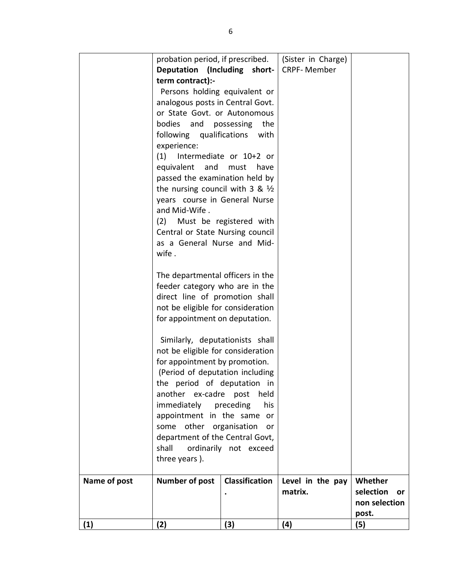|              | probation period, if prescribed.           |                         | (Sister in Charge) |                 |
|--------------|--------------------------------------------|-------------------------|--------------------|-----------------|
|              | Deputation (Including short-               |                         | <b>CRPF-Member</b> |                 |
|              | term contract):-                           |                         |                    |                 |
|              | Persons holding equivalent or              |                         |                    |                 |
|              | analogous posts in Central Govt.           |                         |                    |                 |
|              | or State Govt. or Autonomous               |                         |                    |                 |
|              | bodies and possessing                      | the                     |                    |                 |
|              | following qualifications                   | with                    |                    |                 |
|              | experience:                                |                         |                    |                 |
|              | (1)                                        | Intermediate or 10+2 or |                    |                 |
|              | equivalent and must                        | have                    |                    |                 |
|              | passed the examination held by             |                         |                    |                 |
|              | the nursing council with 3 & $\frac{1}{2}$ |                         |                    |                 |
|              | years course in General Nurse              |                         |                    |                 |
|              | and Mid-Wife.                              |                         |                    |                 |
|              | (2) Must be registered with                |                         |                    |                 |
|              | Central or State Nursing council           |                         |                    |                 |
|              | as a General Nurse and Mid-                |                         |                    |                 |
|              | wife.                                      |                         |                    |                 |
|              |                                            |                         |                    |                 |
|              | The departmental officers in the           |                         |                    |                 |
|              | feeder category who are in the             |                         |                    |                 |
|              | direct line of promotion shall             |                         |                    |                 |
|              | not be eligible for consideration          |                         |                    |                 |
|              | for appointment on deputation.             |                         |                    |                 |
|              | Similarly, deputationists shall            |                         |                    |                 |
|              | not be eligible for consideration          |                         |                    |                 |
|              | for appointment by promotion.              |                         |                    |                 |
|              | (Period of deputation including            |                         |                    |                 |
|              | the period of deputation in                |                         |                    |                 |
|              | another ex-cadre post                      | held                    |                    |                 |
|              | immediately preceding                      | his                     |                    |                 |
|              | appointment in the same or                 |                         |                    |                 |
|              | some other organisation                    | or                      |                    |                 |
|              | department of the Central Govt,            |                         |                    |                 |
|              | shall                                      | ordinarily not exceed   |                    |                 |
|              | three years).                              |                         |                    |                 |
| Name of post | <b>Number of post</b>                      | <b>Classification</b>   | Level in the pay   | Whether         |
|              |                                            |                         | matrix.            | selection<br>or |
|              |                                            |                         |                    | non selection   |
|              |                                            |                         |                    | post.           |
| (1)          | (2)                                        | (3)                     | (4)                | (5)             |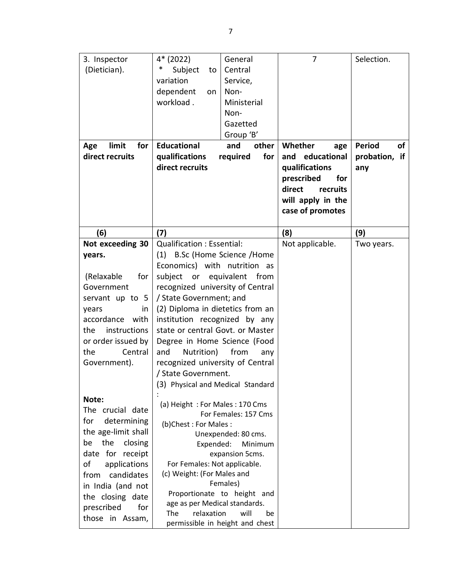| 3. Inspector<br>(Dietician).<br>limit<br>for<br>Age<br>direct recruits | 4* (2022)<br>General<br>∗<br>Subject<br>Central<br>to<br>variation<br>Service,<br>dependent<br>Non-<br>on<br>workload.<br>Ministerial<br>Non-<br>Gazetted<br>Group 'B'<br><b>Educational</b><br>and<br>other<br>qualifications<br>required<br>for<br>direct recruits | 7<br>Whether<br>age<br>educational<br>and<br>qualifications<br>prescribed<br>for<br>direct<br>recruits<br>will apply in the<br>case of promotes | Selection.<br><b>Period</b><br>οf<br>probation, if<br>any |
|------------------------------------------------------------------------|----------------------------------------------------------------------------------------------------------------------------------------------------------------------------------------------------------------------------------------------------------------------|-------------------------------------------------------------------------------------------------------------------------------------------------|-----------------------------------------------------------|
|                                                                        |                                                                                                                                                                                                                                                                      |                                                                                                                                                 |                                                           |
| (6)                                                                    | (7)                                                                                                                                                                                                                                                                  | (8)                                                                                                                                             | (9)                                                       |
| Not exceeding 30                                                       | <b>Qualification: Essential:</b>                                                                                                                                                                                                                                     | Not applicable.                                                                                                                                 | Two years.                                                |
| years.                                                                 | B.Sc (Home Science /Home<br>(1)                                                                                                                                                                                                                                      |                                                                                                                                                 |                                                           |
|                                                                        | Economics) with nutrition as                                                                                                                                                                                                                                         |                                                                                                                                                 |                                                           |
| (Relaxable<br>for                                                      | subject or equivalent from                                                                                                                                                                                                                                           |                                                                                                                                                 |                                                           |
| Government                                                             | recognized university of Central                                                                                                                                                                                                                                     |                                                                                                                                                 |                                                           |
| servant up to 5                                                        | / State Government; and                                                                                                                                                                                                                                              |                                                                                                                                                 |                                                           |
| years<br>in.                                                           | (2) Diploma in dietetics from an                                                                                                                                                                                                                                     |                                                                                                                                                 |                                                           |
| accordance<br>with                                                     | institution recognized by any                                                                                                                                                                                                                                        |                                                                                                                                                 |                                                           |
| instructions<br>the                                                    | state or central Govt. or Master                                                                                                                                                                                                                                     |                                                                                                                                                 |                                                           |
|                                                                        |                                                                                                                                                                                                                                                                      |                                                                                                                                                 |                                                           |
| or order issued by                                                     | Degree in Home Science (Food                                                                                                                                                                                                                                         |                                                                                                                                                 |                                                           |
| Central<br>the                                                         | and<br>Nutrition)<br>from<br>any                                                                                                                                                                                                                                     |                                                                                                                                                 |                                                           |
| Government).                                                           | recognized university of Central                                                                                                                                                                                                                                     |                                                                                                                                                 |                                                           |
|                                                                        | / State Government.                                                                                                                                                                                                                                                  |                                                                                                                                                 |                                                           |
|                                                                        | (3) Physical and Medical Standard                                                                                                                                                                                                                                    |                                                                                                                                                 |                                                           |
| Note:                                                                  |                                                                                                                                                                                                                                                                      |                                                                                                                                                 |                                                           |
|                                                                        | (a) Height: For Males: 170 Cms                                                                                                                                                                                                                                       |                                                                                                                                                 |                                                           |
| The crucial date                                                       | For Females: 157 Cms                                                                                                                                                                                                                                                 |                                                                                                                                                 |                                                           |
| determining<br>for                                                     | (b)Chest: For Males:                                                                                                                                                                                                                                                 |                                                                                                                                                 |                                                           |
| the age-limit shall                                                    | Unexpended: 80 cms.                                                                                                                                                                                                                                                  |                                                                                                                                                 |                                                           |
| the<br>closing<br>be                                                   | Expended:<br>Minimum                                                                                                                                                                                                                                                 |                                                                                                                                                 |                                                           |
| date for receipt                                                       | expansion 5cms.                                                                                                                                                                                                                                                      |                                                                                                                                                 |                                                           |
| of<br>applications                                                     | For Females: Not applicable.                                                                                                                                                                                                                                         |                                                                                                                                                 |                                                           |
| candidates<br>from                                                     | (c) Weight: (For Males and                                                                                                                                                                                                                                           |                                                                                                                                                 |                                                           |
| in India (and not                                                      | Females)                                                                                                                                                                                                                                                             |                                                                                                                                                 |                                                           |
| the closing date                                                       | Proportionate to height and                                                                                                                                                                                                                                          |                                                                                                                                                 |                                                           |
| prescribed<br>for                                                      | age as per Medical standards.                                                                                                                                                                                                                                        |                                                                                                                                                 |                                                           |
|                                                                        | relaxation<br>will<br>The<br>be                                                                                                                                                                                                                                      |                                                                                                                                                 |                                                           |
| those in Assam,                                                        | permissible in height and chest                                                                                                                                                                                                                                      |                                                                                                                                                 |                                                           |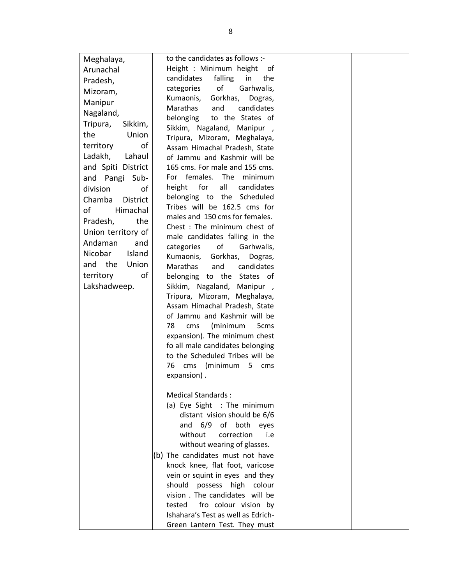| Meghalaya,                | to the candidates as follows :-                               |  |
|---------------------------|---------------------------------------------------------------|--|
| Arunachal                 | Height : Minimum height<br>of                                 |  |
| Pradesh,                  | falling<br>in<br>candidates<br>the                            |  |
| Mizoram,                  | of<br>Garhwalis,<br>categories                                |  |
| Manipur                   | Gorkhas,<br>Kumaonis,<br>Dogras,                              |  |
| Nagaland,                 | candidates<br><b>Marathas</b><br>and                          |  |
| Tripura,<br>Sikkim,       | belonging<br>to the States of                                 |  |
| the<br>Union              | Sikkim, Nagaland, Manipur,                                    |  |
|                           | Tripura, Mizoram, Meghalaya,                                  |  |
| of<br>territory           | Assam Himachal Pradesh, State                                 |  |
| Ladakh,<br>Lahaul         | of Jammu and Kashmir will be                                  |  |
| and Spiti District        | 165 cms. For male and 155 cms.                                |  |
| Pangi Sub-<br>and         | For females.<br>The<br>minimum                                |  |
| division<br>of            | for<br>all<br>candidates<br>height                            |  |
| <b>District</b><br>Chamba | belonging to the Scheduled                                    |  |
| of<br>Himachal            | Tribes will be 162.5 cms for                                  |  |
| the<br>Pradesh,           | males and 150 cms for females.                                |  |
| Union territory of        | Chest: The minimum chest of                                   |  |
| Andaman<br>and            | male candidates falling in the                                |  |
| Nicobar<br>Island         | of<br>categories<br>Garhwalis,                                |  |
| the<br>Union<br>and       | Kumaonis, Gorkhas,<br>Dogras,<br><b>Marathas</b>              |  |
| territory<br>οf           | and<br>candidates                                             |  |
| Lakshadweep.              | belonging to the States of                                    |  |
|                           | Sikkim, Nagaland, Manipur,                                    |  |
|                           | Tripura, Mizoram, Meghalaya,<br>Assam Himachal Pradesh, State |  |
|                           | of Jammu and Kashmir will be                                  |  |
|                           | 78<br>(minimum<br>cms<br>5 <sub>cms</sub>                     |  |
|                           | expansion). The minimum chest                                 |  |
|                           | fo all male candidates belonging                              |  |
|                           | to the Scheduled Tribes will be                               |  |
|                           | cms (minimum 5 cms<br>76                                      |  |
|                           | expansion).                                                   |  |
|                           |                                                               |  |
|                           | Medical Standards:                                            |  |
|                           | (a) Eye Sight : The minimum                                   |  |
|                           | distant vision should be 6/6                                  |  |
|                           | and 6/9 of both eyes                                          |  |
|                           | without<br>correction<br>i.e                                  |  |
|                           | without wearing of glasses.                                   |  |
|                           | (b) The candidates must not have                              |  |
|                           | knock knee, flat foot, varicose                               |  |
|                           | vein or squint in eyes and they                               |  |
|                           | should possess high colour                                    |  |
|                           | vision . The candidates will be                               |  |
|                           | fro colour vision by<br>tested                                |  |
|                           | Ishahara's Test as well as Edrich-                            |  |
|                           | Green Lantern Test. They must                                 |  |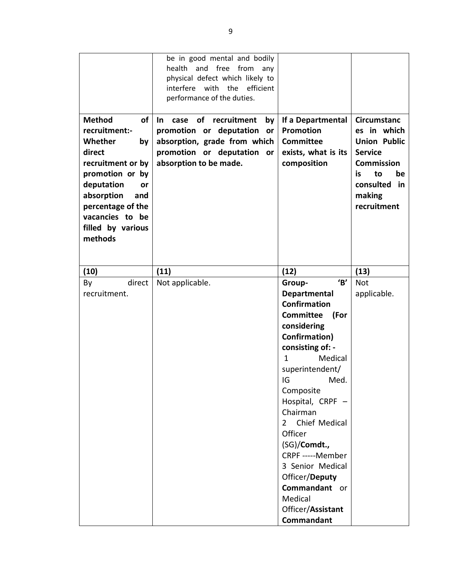| <b>Method</b><br>of<br>recruitment:-<br>Whether<br>by<br>direct<br>recruitment or by<br>promotion or by<br>deputation<br>or<br>absorption<br>and<br>percentage of the<br>vacancies to be<br>filled by various<br>methods | be in good mental and bodily<br>health and free from<br>any<br>physical defect which likely to<br>efficient<br>interfere<br>with the<br>performance of the duties.<br>of<br>recruitment<br>case<br>In.<br>by<br>promotion or deputation<br>or<br>absorption, grade from which<br>promotion or deputation or<br>absorption to be made. | If a Departmental<br><b>Promotion</b><br><b>Committee</b><br>exists, what is its<br>composition                                                                                                                                                                                                                                                                                                                         | <b>Circumstanc</b><br>es in which<br><b>Union Public</b><br><b>Service</b><br><b>Commission</b><br>is<br>to<br>be<br>consulted<br>in<br>making<br>recruitment |
|--------------------------------------------------------------------------------------------------------------------------------------------------------------------------------------------------------------------------|---------------------------------------------------------------------------------------------------------------------------------------------------------------------------------------------------------------------------------------------------------------------------------------------------------------------------------------|-------------------------------------------------------------------------------------------------------------------------------------------------------------------------------------------------------------------------------------------------------------------------------------------------------------------------------------------------------------------------------------------------------------------------|---------------------------------------------------------------------------------------------------------------------------------------------------------------|
| (10)                                                                                                                                                                                                                     | (11)                                                                                                                                                                                                                                                                                                                                  | (12)                                                                                                                                                                                                                                                                                                                                                                                                                    | (13)                                                                                                                                                          |
| By<br>direct<br>recruitment.                                                                                                                                                                                             | Not applicable.                                                                                                                                                                                                                                                                                                                       | B'<br>Group-<br><b>Departmental</b><br><b>Confirmation</b><br><b>Committee</b><br>(For<br>considering<br><b>Confirmation)</b><br>consisting of: -<br>Medical<br>1<br>superintendent/<br>IG<br>Med.<br>Composite<br>Hospital, CRPF -<br>Chairman<br>2 Chief Medical<br>Officer<br>(SG)/Comdt.,<br>CRPF ----- Member<br>3 Senior Medical<br>Officer/Deputy<br>Commandant or<br>Medical<br>Officer/Assistant<br>Commandant | Not<br>applicable.                                                                                                                                            |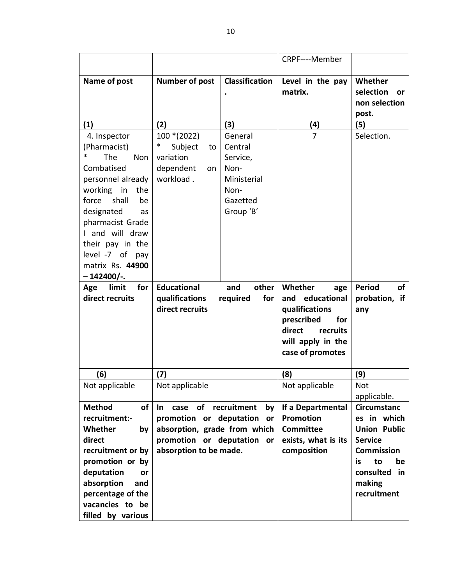|                                      |                              |                       | CRPF----Member              |                            |
|--------------------------------------|------------------------------|-----------------------|-----------------------------|----------------------------|
| Name of post                         | <b>Number of post</b>        | <b>Classification</b> | Level in the pay<br>matrix. | Whether<br>selection       |
|                                      |                              |                       |                             | or<br>non selection        |
|                                      |                              |                       |                             | post.                      |
| (1)                                  | (2)                          | (3)                   | (4)                         | (5)                        |
| 4. Inspector                         | $100*(2022)$                 | General               | $\overline{7}$              | Selection.                 |
| (Pharmacist)                         | ∗<br>Subject<br>to           | Central               |                             |                            |
| ∗<br>The<br>Non                      | variation                    | Service,              |                             |                            |
| Combatised                           | dependent<br>on              | Non-                  |                             |                            |
| personnel already                    | workload.                    | Ministerial           |                             |                            |
| working in<br>the                    |                              | Non-                  |                             |                            |
| shall<br>force<br>be                 |                              | Gazetted              |                             |                            |
| designated<br>as                     |                              | Group 'B'             |                             |                            |
| pharmacist Grade                     |                              |                       |                             |                            |
| I and will draw                      |                              |                       |                             |                            |
| their pay in the                     |                              |                       |                             |                            |
| level -7 of pay                      |                              |                       |                             |                            |
| matrix Rs. 44900                     |                              |                       |                             |                            |
| $-142400/-$                          |                              |                       |                             |                            |
| limit<br>for<br>Age                  | <b>Educational</b>           | and<br>other          | Whether<br>age              | <b>Period</b><br><b>of</b> |
| direct recruits                      | qualifications               | required<br>for       | and educational             | probation, if              |
|                                      | direct recruits              |                       | qualifications              | any                        |
|                                      |                              |                       | prescribed<br>for           |                            |
|                                      |                              |                       | direct<br>recruits          |                            |
|                                      |                              |                       | will apply in the           |                            |
|                                      |                              |                       | case of promotes            |                            |
| (6)                                  | (7)                          |                       | (8)                         | (9)                        |
| Not applicable                       | Not applicable               |                       | Not applicable              | <b>Not</b>                 |
|                                      |                              |                       |                             | applicable.                |
| <b>Method</b><br><b>of</b>           | of<br>In.<br>case            | recruitment<br>by     | If a Departmental           | <b>Circumstanc</b>         |
| recruitment:-                        | promotion or deputation      | or                    | <b>Promotion</b>            | es in which                |
| Whether<br>by                        | absorption, grade from which |                       | <b>Committee</b>            | <b>Union Public</b>        |
| direct                               | promotion or deputation or   |                       | exists, what is its         | <b>Service</b>             |
| recruitment or by                    | absorption to be made.       |                       | composition                 | <b>Commission</b>          |
| promotion or by                      |                              |                       |                             | is<br>to<br>be             |
|                                      |                              |                       |                             |                            |
| deputation<br>or                     |                              |                       |                             | consulted<br>in            |
| absorption<br>and                    |                              |                       |                             | making                     |
| percentage of the                    |                              |                       |                             | recruitment                |
| vacancies to be<br>filled by various |                              |                       |                             |                            |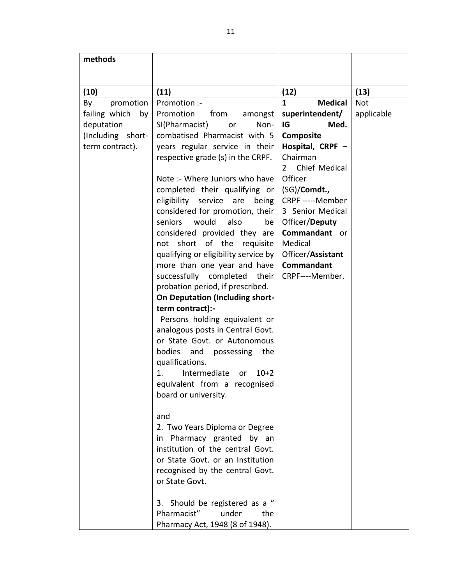| methods             |                                        |                                |            |
|---------------------|----------------------------------------|--------------------------------|------------|
|                     |                                        |                                |            |
| (10)                | (11)                                   | (12)                           | (13)       |
| By<br>promotion     | Promotion :-                           | $\mathbf{1}$<br><b>Medical</b> | <b>Not</b> |
| failing which<br>by | Promotion<br>from<br>amongst           | superintendent/                | applicable |
| deputation          | SI(Pharmacist)<br>Non-<br>or           | IG<br>Med.                     |            |
| (Including short-   | combatised Pharmacist with 5           | Composite                      |            |
| term contract).     | years regular service in their         | Hospital, CRPF -               |            |
|                     | respective grade (s) in the CRPF.      | Chairman                       |            |
|                     |                                        | Chief Medical<br>$2^{\circ}$   |            |
|                     | Note :- Where Juniors who have         | Officer                        |            |
|                     | completed their qualifying or          | (SG)/Comdt.,                   |            |
|                     | eligibility service<br>are<br>being    | CRPF -----Member               |            |
|                     | considered for promotion, their        | 3 Senior Medical               |            |
|                     | would<br>also<br>seniors<br>be         | Officer/Deputy                 |            |
|                     | considered provided they are           | Commandant or                  |            |
|                     | not short of the requisite             | Medical                        |            |
|                     | qualifying or eligibility service by   | Officer/Assistant              |            |
|                     | more than one year and have            | Commandant                     |            |
|                     | successfully completed<br>their        | CRPF----Member.                |            |
|                     | probation period, if prescribed.       |                                |            |
|                     | <b>On Deputation (Including short-</b> |                                |            |
|                     | term contract):-                       |                                |            |
|                     | Persons holding equivalent or          |                                |            |
|                     | analogous posts in Central Govt.       |                                |            |
|                     | or State Govt. or Autonomous           |                                |            |
|                     | bodies<br>and possessing the           |                                |            |
|                     | qualifications.                        |                                |            |
|                     | 1.<br>Intermediate<br>$10+2$<br>or     |                                |            |
|                     | equivalent from a recognised           |                                |            |
|                     | board or university.                   |                                |            |
|                     |                                        |                                |            |
|                     | and                                    |                                |            |
|                     | 2. Two Years Diploma or Degree         |                                |            |
|                     | in Pharmacy granted by an              |                                |            |
|                     | institution of the central Govt.       |                                |            |
|                     | or State Govt. or an Institution       |                                |            |
|                     | recognised by the central Govt.        |                                |            |
|                     | or State Govt.                         |                                |            |
|                     | 3. Should be registered as a "         |                                |            |
|                     | Pharmacist"<br>under<br>the            |                                |            |
|                     | Pharmacy Act, 1948 (8 of 1948).        |                                |            |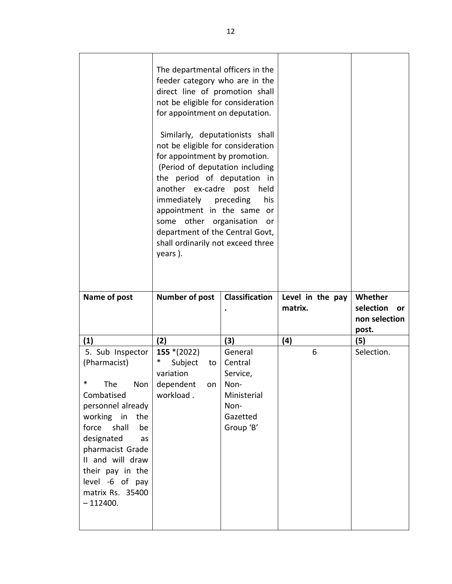|              | The departmental officers in the<br>feeder category who are in the<br>direct line of promotion shall<br>not be eligible for consideration<br>for appointment on deputation.<br>Similarly, deputationists shall<br>not be eligible for consideration<br>for appointment by promotion.<br>(Period of deputation including<br>the period of deputation in<br>another ex-cadre post<br>immediately<br>appointment in the same or<br>some<br>department of the Central Govt,<br>shall ordinarily not exceed three<br>years). | held<br>preceding<br>his<br>other organisation<br>or |                             |                                  |
|--------------|-------------------------------------------------------------------------------------------------------------------------------------------------------------------------------------------------------------------------------------------------------------------------------------------------------------------------------------------------------------------------------------------------------------------------------------------------------------------------------------------------------------------------|------------------------------------------------------|-----------------------------|----------------------------------|
| Name of post | <b>Number of post</b>                                                                                                                                                                                                                                                                                                                                                                                                                                                                                                   | <b>Classification</b>                                | Level in the pay<br>matrix. | Whether                          |
|              |                                                                                                                                                                                                                                                                                                                                                                                                                                                                                                                         |                                                      |                             | selection<br>or<br>non selection |
| (1)          | (2)                                                                                                                                                                                                                                                                                                                                                                                                                                                                                                                     | (3)                                                  | (4)                         | post.<br>(5)                     |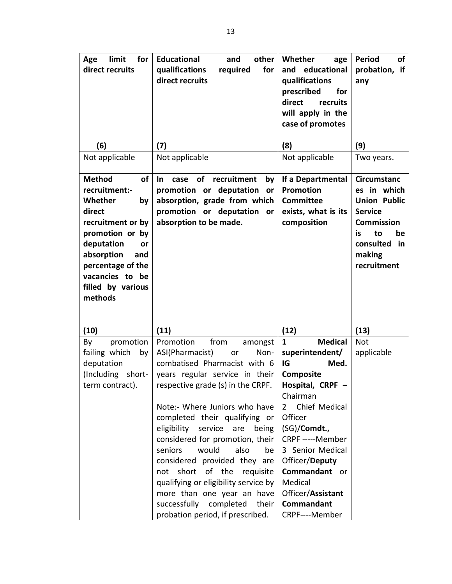| Age<br>limit<br>for<br>direct recruits                                                                                                                                                                                          | <b>Educational</b><br>other<br>and<br>qualifications<br>required<br>for<br>direct recruits                                                                         | Whether<br>age<br>educational<br>and<br>qualifications<br>prescribed<br>for<br>direct<br>recruits<br>will apply in the<br>case of promotes | of<br><b>Period</b><br>probation, if<br>any                                                                                                                    |
|---------------------------------------------------------------------------------------------------------------------------------------------------------------------------------------------------------------------------------|--------------------------------------------------------------------------------------------------------------------------------------------------------------------|--------------------------------------------------------------------------------------------------------------------------------------------|----------------------------------------------------------------------------------------------------------------------------------------------------------------|
| (6)                                                                                                                                                                                                                             | (7)                                                                                                                                                                | (8)                                                                                                                                        | (9)                                                                                                                                                            |
| Not applicable                                                                                                                                                                                                                  | Not applicable                                                                                                                                                     | Not applicable                                                                                                                             | Two years.                                                                                                                                                     |
| <b>of</b><br><b>Method</b><br>recruitment:-<br>Whether<br>by<br>direct<br>recruitment or by<br>promotion or by<br>deputation<br>or<br>absorption<br>and<br>percentage of the<br>vacancies to be<br>filled by various<br>methods | of<br>recruitment<br>In.<br>case<br>by<br>promotion or deputation<br>or<br>absorption, grade from which<br>promotion or deputation<br>or<br>absorption to be made. | If a Departmental<br>Promotion<br><b>Committee</b><br>exists, what is its<br>composition                                                   | <b>Circumstanc</b><br>es in which<br><b>Union Public</b><br><b>Service</b><br><b>Commission</b><br>be<br>to<br>is.<br>consulted<br>in<br>making<br>recruitment |
| (10)                                                                                                                                                                                                                            | (11)                                                                                                                                                               | (12)                                                                                                                                       | (13)                                                                                                                                                           |
| promotion<br>By                                                                                                                                                                                                                 | Promotion<br>from<br>amongst                                                                                                                                       | <b>Medical</b><br>$\mathbf{1}$                                                                                                             | <b>Not</b>                                                                                                                                                     |
| failing which<br>by                                                                                                                                                                                                             | ASI(Pharmacist)<br>Non-<br>or                                                                                                                                      | superintendent/                                                                                                                            | applicable                                                                                                                                                     |
| deputation                                                                                                                                                                                                                      | combatised Pharmacist with 6                                                                                                                                       | IG<br>Med.                                                                                                                                 |                                                                                                                                                                |
| (Including<br>short-<br>term contract).                                                                                                                                                                                         | years regular service in their<br>respective grade (s) in the CRPF.                                                                                                | <b>Composite</b><br>Hospital, CRPF                                                                                                         |                                                                                                                                                                |
|                                                                                                                                                                                                                                 | Note:- Where Juniors who have<br>completed their qualifying or<br>eligibility service are<br>being                                                                 | Chairman<br>Chief Medical<br>$\overline{2}$<br>Officer<br>(SG)/Comdt.,                                                                     |                                                                                                                                                                |
|                                                                                                                                                                                                                                 | considered for promotion, their                                                                                                                                    | CRPF -----Member                                                                                                                           |                                                                                                                                                                |
|                                                                                                                                                                                                                                 | seniors<br>would<br>also<br>be                                                                                                                                     | 3 Senior Medical                                                                                                                           |                                                                                                                                                                |
|                                                                                                                                                                                                                                 | considered provided they are                                                                                                                                       | Officer/Deputy<br>Commandant or                                                                                                            |                                                                                                                                                                |
|                                                                                                                                                                                                                                 | not short of the<br>requisite<br>qualifying or eligibility service by                                                                                              | Medical                                                                                                                                    |                                                                                                                                                                |
|                                                                                                                                                                                                                                 | more than one year an have                                                                                                                                         | Officer/Assistant                                                                                                                          |                                                                                                                                                                |
|                                                                                                                                                                                                                                 | successfully completed<br>their                                                                                                                                    | Commandant                                                                                                                                 |                                                                                                                                                                |
|                                                                                                                                                                                                                                 | probation period, if prescribed.                                                                                                                                   | CRPF----Member                                                                                                                             |                                                                                                                                                                |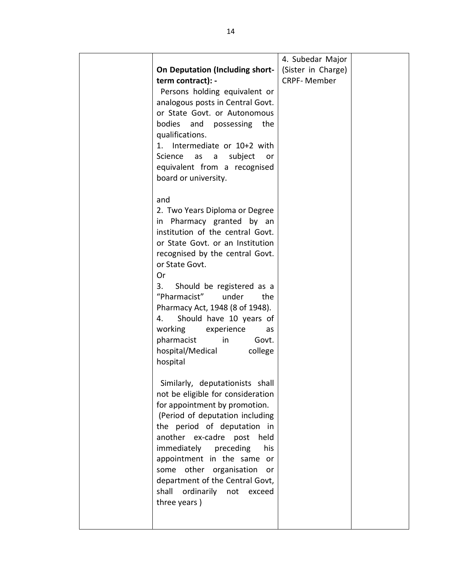|                                                                  | 4. Subedar Major   |  |
|------------------------------------------------------------------|--------------------|--|
| <b>On Deputation (Including short-</b>                           | (Sister in Charge) |  |
| term contract): -                                                | <b>CRPF-Member</b> |  |
| Persons holding equivalent or                                    |                    |  |
| analogous posts in Central Govt.                                 |                    |  |
| or State Govt. or Autonomous                                     |                    |  |
| bodies and possessing the                                        |                    |  |
| qualifications.                                                  |                    |  |
| 1. Intermediate or 10+2 with                                     |                    |  |
| subject<br>Science<br>as a<br>or                                 |                    |  |
| equivalent from a recognised                                     |                    |  |
| board or university.                                             |                    |  |
|                                                                  |                    |  |
| and                                                              |                    |  |
| 2. Two Years Diploma or Degree                                   |                    |  |
| in Pharmacy granted by an                                        |                    |  |
| institution of the central Govt.                                 |                    |  |
| or State Govt. or an Institution                                 |                    |  |
| recognised by the central Govt.                                  |                    |  |
| or State Govt.                                                   |                    |  |
| Or                                                               |                    |  |
| 3.<br>Should be registered as a                                  |                    |  |
| "Pharmacist"<br>under<br>the                                     |                    |  |
| Pharmacy Act, 1948 (8 of 1948).                                  |                    |  |
| Should have 10 years of<br>4.                                    |                    |  |
| working<br>experience<br>as                                      |                    |  |
| pharmacist<br>in<br>Govt.                                        |                    |  |
| hospital/Medical<br>college                                      |                    |  |
| hospital                                                         |                    |  |
|                                                                  |                    |  |
| Similarly, deputationists shall                                  |                    |  |
| not be eligible for consideration                                |                    |  |
| for appointment by promotion.<br>(Period of deputation including |                    |  |
| the period of deputation in                                      |                    |  |
| another ex-cadre post<br>held                                    |                    |  |
| immediately preceding<br>his                                     |                    |  |
| appointment in the same or                                       |                    |  |
| some other organisation<br>or                                    |                    |  |
| department of the Central Govt,                                  |                    |  |
| shall<br>ordinarily not<br>exceed                                |                    |  |
| three years)                                                     |                    |  |
|                                                                  |                    |  |
|                                                                  |                    |  |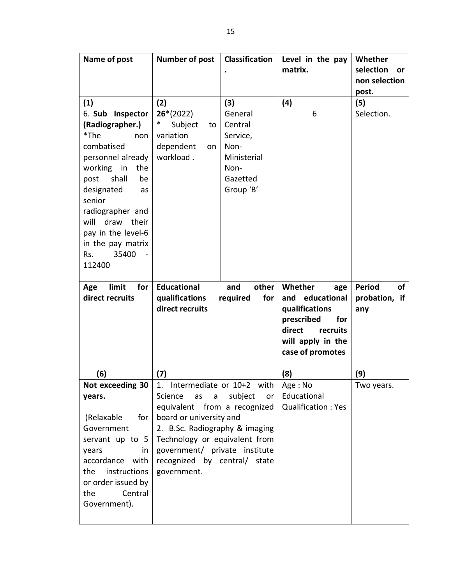| Name of post         | <b>Number of post</b>          | <b>Classification</b> | Level in the pay          | Whether                    |
|----------------------|--------------------------------|-----------------------|---------------------------|----------------------------|
|                      |                                |                       | matrix.                   | selection<br>or            |
|                      |                                |                       |                           | non selection              |
|                      |                                |                       |                           | post.                      |
| (1)                  | (2)                            | (3)                   | (4)                       | (5)                        |
| 6. Sub Inspector     | $26*(2022)$                    | General               | 6                         | Selection.                 |
| (Radiographer.)      | $\ast$<br>Subject<br>to        | Central               |                           |                            |
| *The<br>non          | variation                      | Service,              |                           |                            |
| combatised           | dependent<br>on                | Non-                  |                           |                            |
| personnel already    | workload.                      | Ministerial           |                           |                            |
| working<br>in<br>the |                                | Non-                  |                           |                            |
| shall<br>post<br>be  |                                | Gazetted              |                           |                            |
| designated<br>as     |                                | Group 'B'             |                           |                            |
| senior               |                                |                       |                           |                            |
| radiographer and     |                                |                       |                           |                            |
| will<br>draw their   |                                |                       |                           |                            |
| pay in the level-6   |                                |                       |                           |                            |
| in the pay matrix    |                                |                       |                           |                            |
| 35400<br>Rs.         |                                |                       |                           |                            |
| 112400               |                                |                       |                           |                            |
|                      |                                |                       |                           |                            |
| Age<br>limit<br>for  | <b>Educational</b>             | other<br>and          | Whether<br>age            | <b>Period</b><br><b>of</b> |
|                      |                                |                       |                           |                            |
| direct recruits      | qualifications                 | for<br>required       | and educational           | probation, if              |
|                      | direct recruits                |                       | qualifications            | any                        |
|                      |                                |                       | prescribed<br>for         |                            |
|                      |                                |                       | direct<br>recruits        |                            |
|                      |                                |                       | will apply in the         |                            |
|                      |                                |                       | case of promotes          |                            |
|                      |                                |                       |                           |                            |
| (6)                  | (7)                            |                       | (8)                       | (9)                        |
| Not exceeding 30     | 1. Intermediate or 10+2 with   |                       | Age: No                   | Two years.                 |
| years.               | Science<br>as<br>a             | subject<br>or         | Educational               |                            |
|                      | equivalent from a recognized   |                       | <b>Qualification: Yes</b> |                            |
| (Relaxable<br>for    | board or university and        |                       |                           |                            |
| Government           | 2. B.Sc. Radiography & imaging |                       |                           |                            |
| servant up to 5      | Technology or equivalent from  |                       |                           |                            |
| years<br>in          | government/ private institute  |                       |                           |                            |
| accordance with      | recognized by central/ state   |                       |                           |                            |
| instructions<br>the  | government.                    |                       |                           |                            |
| or order issued by   |                                |                       |                           |                            |
| the<br>Central       |                                |                       |                           |                            |
| Government).         |                                |                       |                           |                            |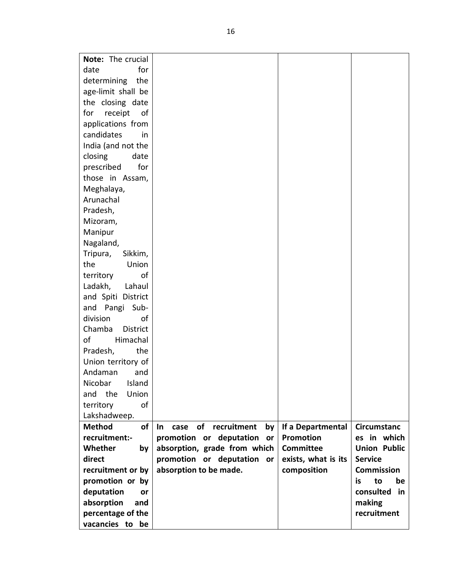| Note: The crucial          |                                           |                     |                     |
|----------------------------|-------------------------------------------|---------------------|---------------------|
| date<br>for                |                                           |                     |                     |
| determining<br>the         |                                           |                     |                     |
| age-limit shall be         |                                           |                     |                     |
| the closing date           |                                           |                     |                     |
| for<br>0f                  |                                           |                     |                     |
| receipt                    |                                           |                     |                     |
| applications from          |                                           |                     |                     |
| candidates<br>in.          |                                           |                     |                     |
| India (and not the         |                                           |                     |                     |
| closing<br>date            |                                           |                     |                     |
| prescribed<br>for          |                                           |                     |                     |
| those in Assam,            |                                           |                     |                     |
| Meghalaya,                 |                                           |                     |                     |
| Arunachal                  |                                           |                     |                     |
| Pradesh,                   |                                           |                     |                     |
| Mizoram,                   |                                           |                     |                     |
| Manipur                    |                                           |                     |                     |
| Nagaland,                  |                                           |                     |                     |
| Tripura,<br>Sikkim,        |                                           |                     |                     |
| Union<br>the               |                                           |                     |                     |
| of<br>territory            |                                           |                     |                     |
| Ladakh,<br>Lahaul          |                                           |                     |                     |
| and Spiti District         |                                           |                     |                     |
| and Pangi Sub-             |                                           |                     |                     |
| division<br>οf             |                                           |                     |                     |
| Chamba<br><b>District</b>  |                                           |                     |                     |
| οf<br>Himachal             |                                           |                     |                     |
| Pradesh,<br>the            |                                           |                     |                     |
| Union territory of         |                                           |                     |                     |
| Andaman<br>and             |                                           |                     |                     |
| Nicobar Island             |                                           |                     |                     |
| the<br>Union<br>and        |                                           |                     |                     |
| of<br>territory            |                                           |                     |                     |
| Lakshadweep.               |                                           |                     |                     |
| <b>Method</b><br><b>of</b> | of recruitment<br><b>In</b><br>case<br>by | If a Departmental   | <b>Circumstanc</b>  |
| recruitment:-              | promotion or deputation<br>or             | <b>Promotion</b>    | es in which         |
| Whether<br>by              | absorption, grade from which              | <b>Committee</b>    | <b>Union Public</b> |
| direct                     | promotion or deputation or                | exists, what is its | <b>Service</b>      |
| recruitment or by          | absorption to be made.                    | composition         | <b>Commission</b>   |
| promotion or by            |                                           |                     | to<br>is<br>be      |
| deputation<br>or           |                                           |                     | consulted<br>in     |
| absorption<br>and          |                                           |                     | making              |
| percentage of the          |                                           |                     | recruitment         |
| vacancies to be            |                                           |                     |                     |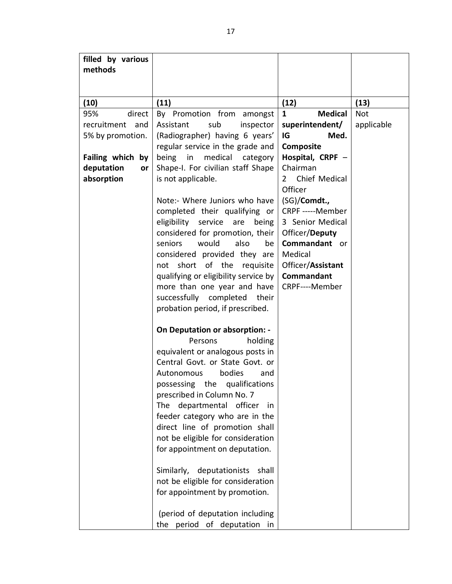| filled by various          |                                                                     |                                        |            |
|----------------------------|---------------------------------------------------------------------|----------------------------------------|------------|
| methods                    |                                                                     |                                        |            |
|                            |                                                                     |                                        |            |
|                            |                                                                     |                                        |            |
| (10)                       | (11)                                                                | (12)                                   | (13)       |
| 95%<br>direct              | By Promotion from amongst                                           | <b>Medical</b><br>$\mathbf{1}$         | <b>Not</b> |
| recruitment<br>and         | Assistant<br>sub<br>inspector                                       | superintendent/                        | applicable |
| 5% by promotion.           | (Radiographer) having 6 years'                                      | IG<br>Med.                             |            |
|                            | regular service in the grade and                                    | Composite                              |            |
| <b>Failing which</b><br>by | medical<br>being<br>in<br>category                                  | Hospital, CRPF -                       |            |
| deputation<br><b>or</b>    | Shape-I. For civilian staff Shape                                   | Chairman                               |            |
| absorption                 | is not applicable.                                                  | Chief Medical<br>$\mathbf{2}^{\prime}$ |            |
|                            |                                                                     | Officer                                |            |
|                            | Note:- Where Juniors who have                                       | (SG)/Comdt.,                           |            |
|                            | completed their qualifying or                                       | CRPF -----Member                       |            |
|                            | eligibility service<br>are<br>being                                 | 3 Senior Medical                       |            |
|                            | considered for promotion, their                                     | Officer/Deputy                         |            |
|                            | seniors<br>would<br>also<br>be                                      | Commandant or                          |            |
|                            | considered provided they are                                        | Medical                                |            |
|                            | short of the<br>requisite<br>not                                    | Officer/Assistant                      |            |
|                            | qualifying or eligibility service by                                | Commandant                             |            |
|                            | more than one year and have                                         | CRPF----Member                         |            |
|                            | successfully completed their                                        |                                        |            |
|                            | probation period, if prescribed.                                    |                                        |            |
|                            |                                                                     |                                        |            |
|                            | <b>On Deputation or absorption: -</b>                               |                                        |            |
|                            | holding<br>Persons                                                  |                                        |            |
|                            | equivalent or analogous posts in<br>Central Govt. or State Govt. or |                                        |            |
|                            | bodies<br>Autonomous<br>and                                         |                                        |            |
|                            |                                                                     |                                        |            |
|                            | possessing the qualifications<br>prescribed in Column No. 7         |                                        |            |
|                            | departmental officer<br>The<br>in.                                  |                                        |            |
|                            | feeder category who are in the                                      |                                        |            |
|                            | direct line of promotion shall                                      |                                        |            |
|                            | not be eligible for consideration                                   |                                        |            |
|                            | for appointment on deputation.                                      |                                        |            |
|                            |                                                                     |                                        |            |
|                            | Similarly, deputationists<br>shall                                  |                                        |            |
|                            | not be eligible for consideration                                   |                                        |            |
|                            | for appointment by promotion.                                       |                                        |            |
|                            |                                                                     |                                        |            |
|                            | (period of deputation including                                     |                                        |            |
|                            | the period of deputation in                                         |                                        |            |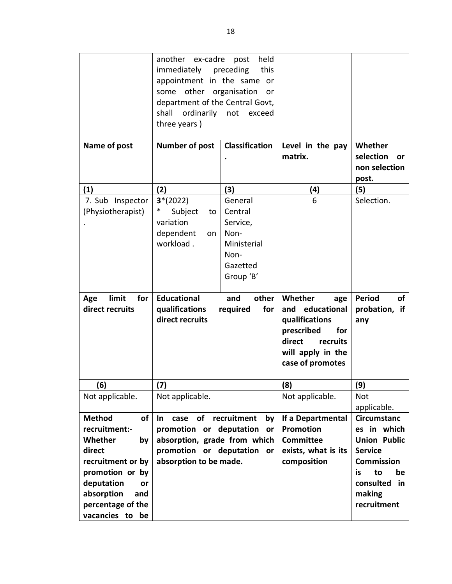|                                                                                                                                                                                                 | held<br>another ex-cadre<br>post<br>immediately preceding<br>this<br>appointment in the same or<br>some other organisation<br>or<br>department of the Central Govt,<br>shall ordinarily not exceed<br>three years) |                                                                                                                           |                                                                                                                                              |                                                                                                                                                               |
|-------------------------------------------------------------------------------------------------------------------------------------------------------------------------------------------------|--------------------------------------------------------------------------------------------------------------------------------------------------------------------------------------------------------------------|---------------------------------------------------------------------------------------------------------------------------|----------------------------------------------------------------------------------------------------------------------------------------------|---------------------------------------------------------------------------------------------------------------------------------------------------------------|
| Name of post                                                                                                                                                                                    | <b>Number of post</b>                                                                                                                                                                                              | <b>Classification</b>                                                                                                     | Level in the pay<br>matrix.                                                                                                                  | Whether<br>selection<br>or<br>non selection<br>post.                                                                                                          |
| (1)                                                                                                                                                                                             | (2)                                                                                                                                                                                                                | (3)                                                                                                                       | (4)                                                                                                                                          | (5)                                                                                                                                                           |
| 7. Sub Inspector<br>(Physiotherapist)<br>limit<br>Age<br>for<br>direct recruits                                                                                                                 | $3*(2022)$<br>$\ast$<br>Subject<br>to<br>variation<br>dependent<br>on<br>workload.<br><b>Educational</b><br>qualifications<br>direct recruits                                                                      | General<br>Central<br>Service,<br>Non-<br>Ministerial<br>Non-<br>Gazetted<br>Group 'B'<br>other<br>and<br>for<br>required | 6<br>Whether<br>age<br>and educational<br>qualifications<br>prescribed<br>for<br>direct<br>recruits<br>will apply in the<br>case of promotes | Selection.<br><b>Period</b><br>of<br>probation, if<br>any                                                                                                     |
| (6)                                                                                                                                                                                             | (7)                                                                                                                                                                                                                |                                                                                                                           | (8)                                                                                                                                          | (9)                                                                                                                                                           |
| Not applicable.                                                                                                                                                                                 | Not applicable.                                                                                                                                                                                                    |                                                                                                                           | Not applicable.                                                                                                                              | Not<br>applicable.                                                                                                                                            |
| <b>Method</b><br><b>of</b><br>recruitment:-<br>Whether<br>by<br>direct<br>recruitment or by<br>promotion or by<br>deputation<br>or<br>absorption<br>and<br>percentage of the<br>vacancies to be | case of recruitment<br>In.<br>promotion or deputation<br>absorption, grade from which<br>promotion or deputation<br>absorption to be made.                                                                         | by<br>or<br><b>or</b>                                                                                                     | If a Departmental<br><b>Promotion</b><br><b>Committee</b><br>exists, what is its<br>composition                                              | <b>Circumstanc</b><br>es in which<br><b>Union Public</b><br><b>Service</b><br><b>Commission</b><br>to<br>is<br>be<br>consulted<br>in<br>making<br>recruitment |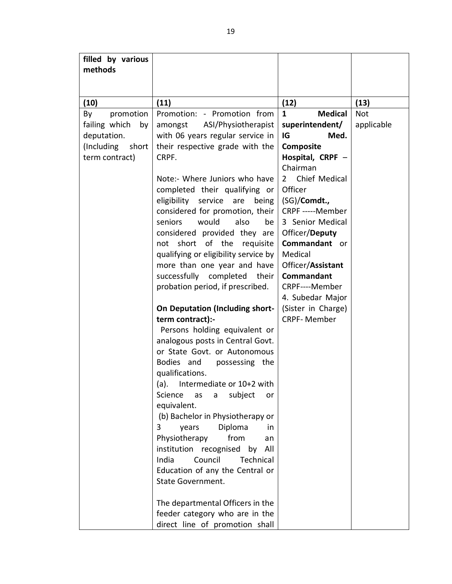| filled by various   |                                                         |                                |            |
|---------------------|---------------------------------------------------------|--------------------------------|------------|
| methods             |                                                         |                                |            |
|                     |                                                         |                                |            |
|                     |                                                         |                                |            |
| (10)                | (11)                                                    | (12)                           | (13)       |
| promotion<br>By     | Promotion: - Promotion from                             | <b>Medical</b><br>$\mathbf{1}$ | <b>Not</b> |
| failing which<br>by | ASI/Physiotherapist<br>amongst                          | superintendent/                | applicable |
| deputation.         | with 06 years regular service in                        | IG<br>Med.                     |            |
| (Including<br>short | their respective grade with the                         | Composite                      |            |
| term contract)      | CRPF.                                                   | Hospital, CRPF -               |            |
|                     |                                                         | Chairman                       |            |
|                     | Note:- Where Juniors who have                           | Chief Medical<br>$2 \square$   |            |
|                     | completed their qualifying or                           | Officer                        |            |
|                     | eligibility service<br>are<br>being                     | (SG)/Comdt.,                   |            |
|                     | considered for promotion, their                         | CRPF -----Member               |            |
|                     | seniors<br>would<br>also<br>be                          | 3 Senior Medical               |            |
|                     | considered provided they are                            | Officer/Deputy                 |            |
|                     | not short of the requisite                              | Commandant or                  |            |
|                     | qualifying or eligibility service by                    | Medical                        |            |
|                     | more than one year and have                             | Officer/Assistant              |            |
|                     | successfully completed<br>their                         | <b>Commandant</b>              |            |
|                     | probation period, if prescribed.                        | CRPF----Member                 |            |
|                     |                                                         | 4. Subedar Major               |            |
|                     | <b>On Deputation (Including short-</b>                  | (Sister in Charge)             |            |
|                     | term contract):-                                        | <b>CRPF-Member</b>             |            |
|                     | Persons holding equivalent or                           |                                |            |
|                     | analogous posts in Central Govt.                        |                                |            |
|                     | or State Govt. or Autonomous                            |                                |            |
|                     | Bodies and<br>possessing the                            |                                |            |
|                     | qualifications.                                         |                                |            |
|                     | (a). Intermediate or 10+2 with                          |                                |            |
|                     | Science<br>subject<br>as<br>a<br>or                     |                                |            |
|                     | equivalent.                                             |                                |            |
|                     | (b) Bachelor in Physiotherapy or<br>Diploma<br>3<br>in. |                                |            |
|                     | years<br>Physiotherapy<br>from<br>an                    |                                |            |
|                     | institution recognised by<br>All                        |                                |            |
|                     | Council<br>India<br>Technical                           |                                |            |
|                     | Education of any the Central or                         |                                |            |
|                     | <b>State Government.</b>                                |                                |            |
|                     |                                                         |                                |            |
|                     | The departmental Officers in the                        |                                |            |
|                     | feeder category who are in the                          |                                |            |
|                     | direct line of promotion shall                          |                                |            |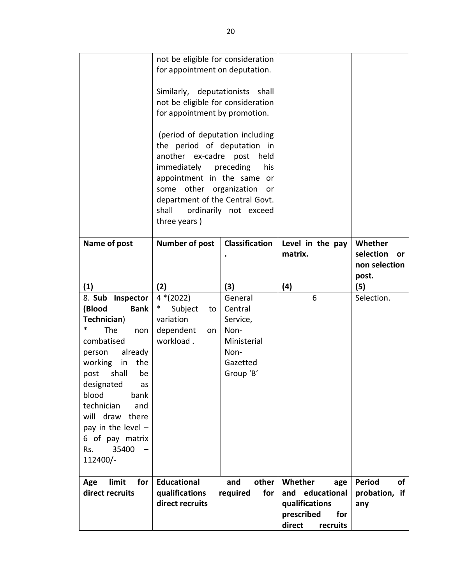|                                                                                                                                                                                                                                                                                                                      | not be eligible for consideration<br>for appointment on deputation.<br>Similarly, deputationists shall<br>not be eligible for consideration<br>for appointment by promotion.<br>(period of deputation including<br>the period of deputation in<br>another ex-cadre post<br>immediately preceding<br>appointment in the same or<br>some other organization<br>department of the Central Govt.<br>shall<br>three years) | held<br>his<br>or<br>ordinarily not exceed                                             |                                                                                                |                                                      |
|----------------------------------------------------------------------------------------------------------------------------------------------------------------------------------------------------------------------------------------------------------------------------------------------------------------------|-----------------------------------------------------------------------------------------------------------------------------------------------------------------------------------------------------------------------------------------------------------------------------------------------------------------------------------------------------------------------------------------------------------------------|----------------------------------------------------------------------------------------|------------------------------------------------------------------------------------------------|------------------------------------------------------|
| Name of post                                                                                                                                                                                                                                                                                                         | <b>Number of post</b>                                                                                                                                                                                                                                                                                                                                                                                                 | <b>Classification</b>                                                                  | Level in the pay<br>matrix.                                                                    | Whether<br>selection<br>or<br>non selection<br>post. |
| (1)                                                                                                                                                                                                                                                                                                                  | (2)                                                                                                                                                                                                                                                                                                                                                                                                                   | (3)                                                                                    | (4)<br>6                                                                                       | (5)<br>Selection.                                    |
| 8. Sub Inspector<br>(Blood<br><b>Bank</b><br>Technician)<br>$\ast$<br>The<br>non<br>combatised<br>already<br>person<br>working<br>the<br>in<br>shall<br>post<br>be<br>designated<br>as<br>blood<br>bank<br>technician<br>and<br>will draw there<br>pay in the level -<br>6 of pay matrix<br>35400<br>Rs.<br>112400/- | $4*(2022)$<br>$\ast$<br>Subject<br>to<br>variation<br>dependent<br>on<br>workload.                                                                                                                                                                                                                                                                                                                                    | General<br>Central<br>Service,<br>Non-<br>Ministerial<br>Non-<br>Gazetted<br>Group 'B' |                                                                                                |                                                      |
| limit<br>for<br>Age<br>direct recruits                                                                                                                                                                                                                                                                               | <b>Educational</b><br>qualifications<br>direct recruits                                                                                                                                                                                                                                                                                                                                                               | and<br>other  <br>for<br>required                                                      | Whether<br>age<br>and educational<br>qualifications<br>prescribed<br>for<br>direct<br>recruits | <b>Period</b><br>of<br>probation, if<br>any          |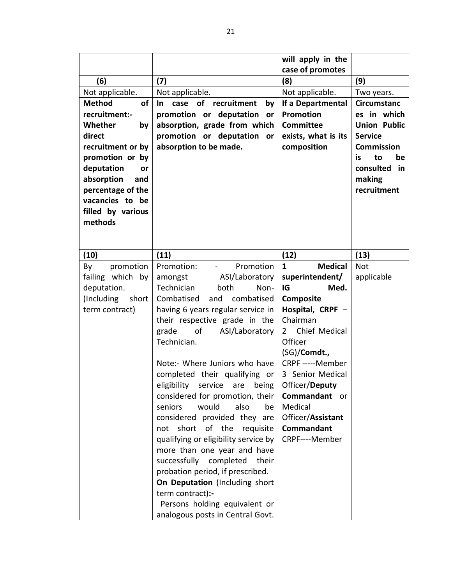|                            |                                      | will apply in the              |                     |
|----------------------------|--------------------------------------|--------------------------------|---------------------|
|                            |                                      | case of promotes               |                     |
| (6)                        | (7)                                  | (8)                            | (9)                 |
| Not applicable.            | Not applicable.                      | Not applicable.                | Two years.          |
| <b>Method</b><br><b>of</b> | case of recruitment<br>In.<br>by     | If a Departmental              | <b>Circumstanc</b>  |
| recruitment:-              | promotion or deputation<br>or        | <b>Promotion</b>               | es in which         |
| Whether<br>by              | absorption, grade from which         | <b>Committee</b>               | <b>Union Public</b> |
| direct                     | promotion or deputation or           | exists, what is its            | <b>Service</b>      |
| recruitment or by          | absorption to be made.               | composition                    | <b>Commission</b>   |
| promotion or by            |                                      |                                | to<br>be<br>is.     |
| deputation<br>or           |                                      |                                | consulted<br>in     |
| absorption<br>and          |                                      |                                | making              |
| percentage of the          |                                      |                                | recruitment         |
| vacancies to be            |                                      |                                |                     |
| filled by various          |                                      |                                |                     |
| methods                    |                                      |                                |                     |
|                            |                                      |                                |                     |
|                            |                                      |                                |                     |
| (10)                       | (11)                                 | (12)                           | (13)                |
| promotion<br>By            | Promotion<br>Promotion:              | $\mathbf{1}$<br><b>Medical</b> | <b>Not</b>          |
| failing which by           | amongst<br>ASI/Laboratory            | superintendent/                | applicable          |
| deputation.                | Technician<br>both<br>Non-           | IG<br>Med.                     |                     |
| (Including<br>short        | Combatised<br>and<br>combatised      | Composite                      |                     |
| term contract)             | having 6 years regular service in    | Hospital, CRPF -               |                     |
|                            | their respective grade in the        | Chairman                       |                     |
|                            | grade<br>of<br>ASI/Laboratory        | 2 Chief Medical                |                     |
|                            | Technician.                          | Officer                        |                     |
|                            |                                      | (SG)/Comdt.,                   |                     |
|                            | Note:- Where Juniors who have        | CRPF -----Member               |                     |
|                            | completed their qualifying or        | 3 Senior Medical               |                     |
|                            | eligibility service are being        | Officer/Deputy                 |                     |
|                            | considered for promotion, their      | Commandant or                  |                     |
|                            | seniors<br>would<br>also<br>be       | Medical                        |                     |
|                            | considered provided they are         | Officer/Assistant              |                     |
|                            | not short of the<br>requisite        | <b>Commandant</b>              |                     |
|                            | qualifying or eligibility service by | CRPF----Member                 |                     |
|                            | more than one year and have          |                                |                     |
|                            | successfully completed<br>their      |                                |                     |
|                            | probation period, if prescribed.     |                                |                     |
|                            | On Deputation (Including short       |                                |                     |
|                            | term contract):-                     |                                |                     |
|                            | Persons holding equivalent or        |                                |                     |
|                            | analogous posts in Central Govt.     |                                |                     |